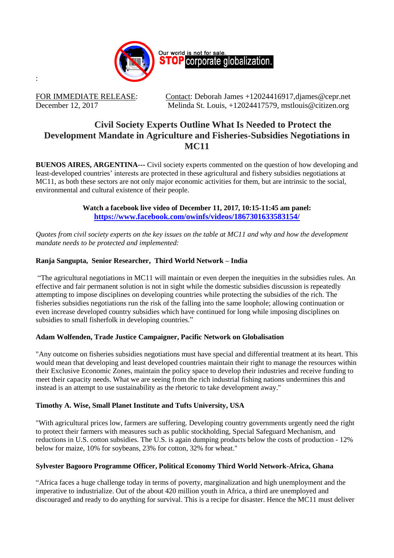

:

FOR IMMEDIATE RELEASE: Contact: Deborah James +12024416917, djames @cepr.net December 12, 2017 Melinda St. Louis, +12024417579, mstlouis@citizen.org

# **Civil Society Experts Outline What Is Needed to Protect the Development Mandate in Agriculture and Fisheries-Subsidies Negotiations in MC11**

**BUENOS AIRES, ARGENTINA---** Civil society experts commented on the question of how developing and least-developed countries' interests are protected in these agricultural and fishery subsidies negotiations at MC11, as both these sectors are not only major economic activities for them, but are intrinsic to the social, environmental and cultural existence of their people.

> **Watch a facebook live video of December 11, 2017, 10:15-11:45 am panel: <https://www.facebook.com/owinfs/videos/1867301633583154/>**

*Quotes from civil society experts on the key issues on the table at MC11 and why and how the development mandate needs to be protected and implemented:*

## **Ranja Sangupta, Senior Researcher, Third World Network – India**

"The agricultural negotiations in MC11 will maintain or even deepen the inequities in the subsidies rules. An effective and fair permanent solution is not in sight while the domestic subsidies discussion is repeatedly attempting to impose disciplines on developing countries while protecting the subsidies of the rich. The fisheries subsidies negotiations run the risk of the falling into the same loophole; allowing continuation or even increase developed country subsidies which have continued for long while imposing disciplines on subsidies to small fisherfolk in developing countries."

### **Adam Wolfenden, Trade Justice Campaigner, Pacific Network on Globalisation**

"Any outcome on fisheries subsidies negotiations must have special and differential treatment at its heart. This would mean that developing and least developed countries maintain their right to manage the resources within their Exclusive Economic Zones, maintain the policy space to develop their industries and receive funding to meet their capacity needs. What we are seeing from the rich industrial fishing nations undermines this and instead is an attempt to use sustainability as the rhetoric to take development away."

### **Timothy A. Wise, Small Planet Institute and Tufts University, USA**

"With agricultural prices low, farmers are suffering. Developing country governments urgently need the right to protect their farmers with measures such as public stockholding, Special Safeguard Mechanism, and reductions in U.S. cotton subsidies. The U.S. is again dumping products below the costs of production - 12% below for maize, 10% for soybeans, 23% for cotton, 32% for wheat."

### **Sylvester Bagooro Programme Officer, Political Economy Third World Network-Africa, Ghana**

"Africa faces a huge challenge today in terms of poverty, marginalization and high unemployment and the imperative to industrialize. Out of the about 420 million youth in Africa, a third are unemployed and discouraged and ready to do anything for survival. This is a recipe for disaster. Hence the MC11 must deliver